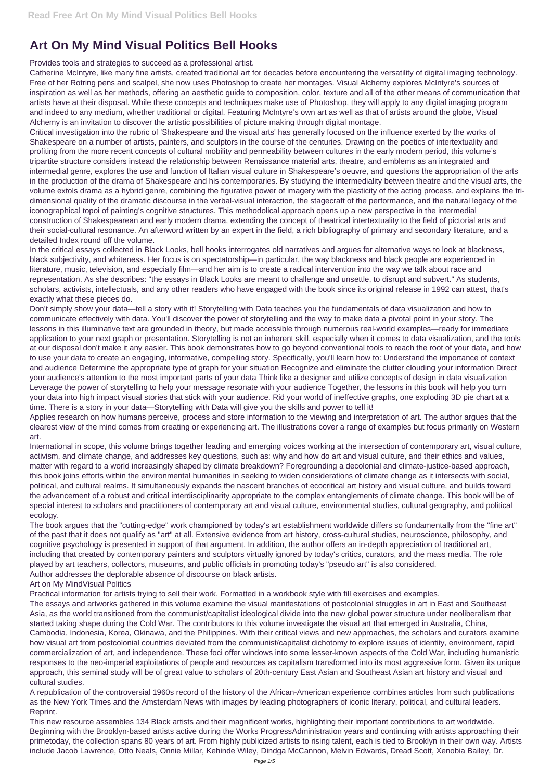## **Art On My Mind Visual Politics Bell Hooks**

Provides tools and strategies to succeed as a professional artist.

Catherine McIntyre, like many fine artists, created traditional art for decades before encountering the versatility of digital imaging technology. Free of her Rotring pens and scalpel, she now uses Photoshop to create her montages. Visual Alchemy explores McIntyre's sources of inspiration as well as her methods, offering an aesthetic guide to composition, color, texture and all of the other means of communication that artists have at their disposal. While these concepts and techniques make use of Photoshop, they will apply to any digital imaging program and indeed to any medium, whether traditional or digital. Featuring McIntyre's own art as well as that of artists around the globe, Visual Alchemy is an invitation to discover the artistic possibilities of picture making through digital montage.

Critical investigation into the rubric of 'Shakespeare and the visual arts' has generally focused on the influence exerted by the works of Shakespeare on a number of artists, painters, and sculptors in the course of the centuries. Drawing on the poetics of intertextuality and profiting from the more recent concepts of cultural mobility and permeability between cultures in the early modern period, this volume's tripartite structure considers instead the relationship between Renaissance material arts, theatre, and emblems as an integrated and intermedial genre, explores the use and function of Italian visual culture in Shakespeare's oeuvre, and questions the appropriation of the arts in the production of the drama of Shakespeare and his contemporaries. By studying the intermediality between theatre and the visual arts, the volume extols drama as a hybrid genre, combining the figurative power of imagery with the plasticity of the acting process, and explains the tridimensional quality of the dramatic discourse in the verbal-visual interaction, the stagecraft of the performance, and the natural legacy of the iconographical topoi of painting's cognitive structures. This methodolical approach opens up a new perspective in the intermedial construction of Shakespearean and early modern drama, extending the concept of theatrical intertextuality to the field of pictorial arts and their social-cultural resonance. An afterword written by an expert in the field, a rich bibliography of primary and secondary literature, and a detailed Index round off the volume.

In the critical essays collected in Black Looks, bell hooks interrogates old narratives and argues for alternative ways to look at blackness, black subjectivity, and whiteness. Her focus is on spectatorship—in particular, the way blackness and black people are experienced in literature, music, television, and especially film—and her aim is to create a radical intervention into the way we talk about race and representation. As she describes: "the essays in Black Looks are meant to challenge and unsettle, to disrupt and subvert." As students, scholars, activists, intellectuals, and any other readers who have engaged with the book since its original release in 1992 can attest, that's exactly what these pieces do.

Don't simply show your data—tell a story with it! Storytelling with Data teaches you the fundamentals of data visualization and how to communicate effectively with data. You'll discover the power of storytelling and the way to make data a pivotal point in your story. The lessons in this illuminative text are grounded in theory, but made accessible through numerous real-world examples—ready for immediate application to your next graph or presentation. Storytelling is not an inherent skill, especially when it comes to data visualization, and the tools at our disposal don't make it any easier. This book demonstrates how to go beyond conventional tools to reach the root of your data, and how to use your data to create an engaging, informative, compelling story. Specifically, you'll learn how to: Understand the importance of context and audience Determine the appropriate type of graph for your situation Recognize and eliminate the clutter clouding your information Direct your audience's attention to the most important parts of your data Think like a designer and utilize concepts of design in data visualization Leverage the power of storytelling to help your message resonate with your audience Together, the lessons in this book will help you turn your data into high impact visual stories that stick with your audience. Rid your world of ineffective graphs, one exploding 3D pie chart at a time. There is a story in your data—Storytelling with Data will give you the skills and power to tell it!

Applies research on how humans perceive, process and store information to the viewing and interpretation of art. The author argues that the clearest view of the mind comes from creating or experiencing art. The illustrations cover a range of examples but focus primarily on Western art.

International in scope, this volume brings together leading and emerging voices working at the intersection of contemporary art, visual culture, activism, and climate change, and addresses key questions, such as: why and how do art and visual culture, and their ethics and values, matter with regard to a world increasingly shaped by climate breakdown? Foregrounding a decolonial and climate-justice-based approach, this book joins efforts within the environmental humanities in seeking to widen considerations of climate change as it intersects with social, political, and cultural realms. It simultaneously expands the nascent branches of ecocritical art history and visual culture, and builds toward the advancement of a robust and critical interdisciplinarity appropriate to the complex entanglements of climate change. This book will be of special interest to scholars and practitioners of contemporary art and visual culture, environmental studies, cultural geography, and political ecology.

The book argues that the "cutting-edge" work championed by today's art establishment worldwide differs so fundamentally from the "fine art" of the past that it does not qualify as "art" at all. Extensive evidence from art history, cross-cultural studies, neuroscience, philosophy, and cognitive psychology is presented in support of that argument. In addition, the author offers an in-depth appreciation of traditional art, including that created by contemporary painters and sculptors virtually ignored by today's critics, curators, and the mass media. The role played by art teachers, collectors, museums, and public officials in promoting today's "pseudo art" is also considered. Author addresses the deplorable absence of discourse on black artists.

Art on My MindVisual Politics

Practical information for artists trying to sell their work. Formatted in a workbook style with fill exercises and examples. The essays and artworks gathered in this volume examine the visual manifestations of postcolonial struggles in art in East and Southeast Asia, as the world transitioned from the communist/capitalist ideological divide into the new global power structure under neoliberalism that started taking shape during the Cold War. The contributors to this volume investigate the visual art that emerged in Australia, China, Cambodia, Indonesia, Korea, Okinawa, and the Philippines. With their critical views and new approaches, the scholars and curators examine how visual art from postcolonial countries deviated from the communist/capitalist dichotomy to explore issues of identity, environment, rapid commercialization of art, and independence. These foci offer windows into some lesser-known aspects of the Cold War, including humanistic responses to the neo-imperial exploitations of people and resources as capitalism transformed into its most aggressive form. Given its unique approach, this seminal study will be of great value to scholars of 20th-century East Asian and Southeast Asian art history and visual and cultural studies.

A republication of the controversial 1960s record of the history of the African-American experience combines articles from such publications as the New York Times and the Amsterdam News with images by leading photographers of iconic literary, political, and cultural leaders. Reprint.

This new resource assembles 134 Black artists and their magnificent works, highlighting their important contributions to art worldwide. Beginning with the Brooklyn-based artists active during the Works ProgressAdministration years and continuing with artists approaching their primetoday, the collection spans 80 years of art. From highly publicized artists to rising talent, each is tied to Brooklyn in their own way. Artists include Jacob Lawrence, Otto Neals, Onnie Millar, Kehinde Wiley, Dindga McCannon, Melvin Edwards, Dread Scott, Xenobia Bailey, Dr.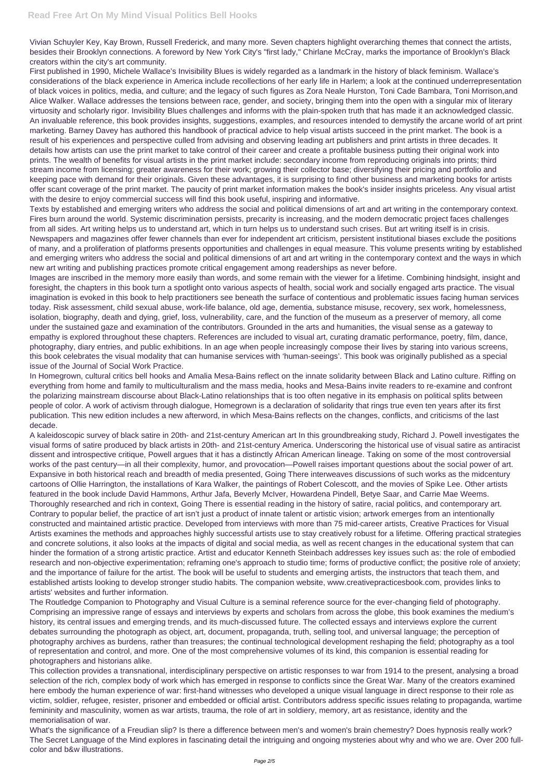First published in 1990, Michele Wallace's Invisibility Blues is widely regarded as a landmark in the history of black feminism. Wallace's considerations of the black experience in America include recollections of her early life in Harlem; a look at the continued underrepresentation of black voices in politics, media, and culture; and the legacy of such figures as Zora Neale Hurston, Toni Cade Bambara, Toni Morrison,and Alice Walker. Wallace addresses the tensions between race, gender, and society, bringing them into the open with a singular mix of literary virtuosity and scholarly rigor. Invisibility Blues challenges and informs with the plain-spoken truth that has made it an acknowledged classic. An invaluable reference, this book provides insights, suggestions, examples, and resources intended to demystify the arcane world of art print marketing. Barney Davey has authored this handbook of practical advice to help visual artists succeed in the print market. The book is a result of his experiences and perspective culled from advising and observing leading art publishers and print artists in three decades. It details how artists can use the print market to take control of their career and create a profitable business putting their original work into prints. The wealth of benefits for visual artists in the print market include: secondary income from reproducing originals into prints; third stream income from licensing; greater awareness for their work; growing their collector base; diversifying their pricing and portfolio and keeping pace with demand for their originals. Given these advantages, it is surprising to find other business and marketing books for artists offer scant coverage of the print market. The paucity of print market information makes the book's insider insights priceless. Any visual artist with the desire to enjoy commercial success will find this book useful, inspiring and informative.

Vivian Schuyler Key, Kay Brown, Russell Frederick, and many more. Seven chapters highlight overarching themes that connect the artists, besides their Brooklyn connections. A foreword by New York City's "first lady," Chirlane McCray, marks the importance of Brooklyn's Black creators within the city's art community.

Texts by established and emerging writers who address the social and political dimensions of art and art writing in the contemporary context. Fires burn around the world. Systemic discrimination persists, precarity is increasing, and the modern democratic project faces challenges from all sides. Art writing helps us to understand art, which in turn helps us to understand such crises. But art writing itself is in crisis. Newspapers and magazines offer fewer channels than ever for independent art criticism, persistent institutional biases exclude the positions of many, and a proliferation of platforms presents opportunities and challenges in equal measure. This volume presents writing by established and emerging writers who address the social and political dimensions of art and art writing in the contemporary context and the ways in which new art writing and publishing practices promote critical engagement among readerships as never before.

Images are inscribed in the memory more easily than words, and some remain with the viewer for a lifetime. Combining hindsight, insight and foresight, the chapters in this book turn a spotlight onto various aspects of health, social work and socially engaged arts practice. The visual imagination is evoked in this book to help practitioners see beneath the surface of contentious and problematic issues facing human services today. Risk assessment, child sexual abuse, work-life balance, old age, dementia, substance misuse, recovery, sex work, homelessness, isolation, biography, death and dying, grief, loss, vulnerability, care, and the function of the museum as a preserver of memory, all come under the sustained gaze and examination of the contributors. Grounded in the arts and humanities, the visual sense as a gateway to empathy is explored throughout these chapters. References are included to visual art, curating dramatic performance, poetry, film, dance, photography, diary entries, and public exhibitions. In an age when people increasingly compose their lives by staring into various screens, this book celebrates the visual modality that can humanise services with 'human-seeings'. This book was originally published as a special issue of the Journal of Social Work Practice.

In Homegrown, cultural critics bell hooks and Amalia Mesa-Bains reflect on the innate solidarity between Black and Latino culture. Riffing on everything from home and family to multiculturalism and the mass media, hooks and Mesa-Bains invite readers to re-examine and confront the polarizing mainstream discourse about Black-Latino relationships that is too often negative in its emphasis on political splits between people of color. A work of activism through dialogue, Homegrown is a declaration of solidarity that rings true even ten years after its first publication. This new edition includes a new afterword, in which Mesa-Bains reflects on the changes, conflicts, and criticisms of the last decade.

A kaleidoscopic survey of black satire in 20th- and 21st-century American art In this groundbreaking study, Richard J. Powell investigates the visual forms of satire produced by black artists in 20th- and 21st-century America. Underscoring the historical use of visual satire as antiracist dissent and introspective critique, Powell argues that it has a distinctly African American lineage. Taking on some of the most controversial works of the past century—in all their complexity, humor, and provocation—Powell raises important questions about the social power of art. Expansive in both historical reach and breadth of media presented, Going There interweaves discussions of such works as the midcentury cartoons of Ollie Harrington, the installations of Kara Walker, the paintings of Robert Colescott, and the movies of Spike Lee. Other artists featured in the book include David Hammons, Arthur Jafa, Beverly McIver, Howardena Pindell, Betye Saar, and Carrie Mae Weems. Thoroughly researched and rich in context, Going There is essential reading in the history of satire, racial politics, and contemporary art. Contrary to popular belief, the practice of art isn't just a product of innate talent or artistic vision; artwork emerges from an intentionally constructed and maintained artistic practice. Developed from interviews with more than 75 mid-career artists, Creative Practices for Visual Artists examines the methods and approaches highly successful artists use to stay creatively robust for a lifetime. Offering practical strategies and concrete solutions, it also looks at the impacts of digital and social media, as well as recent changes in the educational system that can hinder the formation of a strong artistic practice. Artist and educator Kenneth Steinbach addresses key issues such as: the role of embodied research and non-objective experimentation; reframing one's approach to studio time; forms of productive conflict; the positive role of anxiety; and the importance of failure for the artist. The book will be useful to students and emerging artists, the instructors that teach them, and established artists looking to develop stronger studio habits. The companion website, www.creativepracticesbook.com, provides links to

artists' websites and further information.

The Routledge Companion to Photography and Visual Culture is a seminal reference source for the ever-changing field of photography. Comprising an impressive range of essays and interviews by experts and scholars from across the globe, this book examines the medium's history, its central issues and emerging trends, and its much-discussed future. The collected essays and interviews explore the current debates surrounding the photograph as object, art, document, propaganda, truth, selling tool, and universal language; the perception of photography archives as burdens, rather than treasures; the continual technological development reshaping the field; photography as a tool of representation and control, and more. One of the most comprehensive volumes of its kind, this companion is essential reading for photographers and historians alike.

This collection provides a transnational, interdisciplinary perspective on artistic responses to war from 1914 to the present, analysing a broad selection of the rich, complex body of work which has emerged in response to conflicts since the Great War. Many of the creators examined here embody the human experience of war: first-hand witnesses who developed a unique visual language in direct response to their role as victim, soldier, refugee, resister, prisoner and embedded or official artist. Contributors address specific issues relating to propaganda, wartime femininity and masculinity, women as war artists, trauma, the role of art in soldiery, memory, art as resistance, identity and the memorialisation of war.

What's the significance of a Freudian slip? Is there a difference between men's and women's brain chemestry? Does hypnosis really work? The Secret Language of the Mind explores in fascinating detail the intriguing and ongoing mysteries about why and who we are. Over 200 fullcolor and b&w illustrations.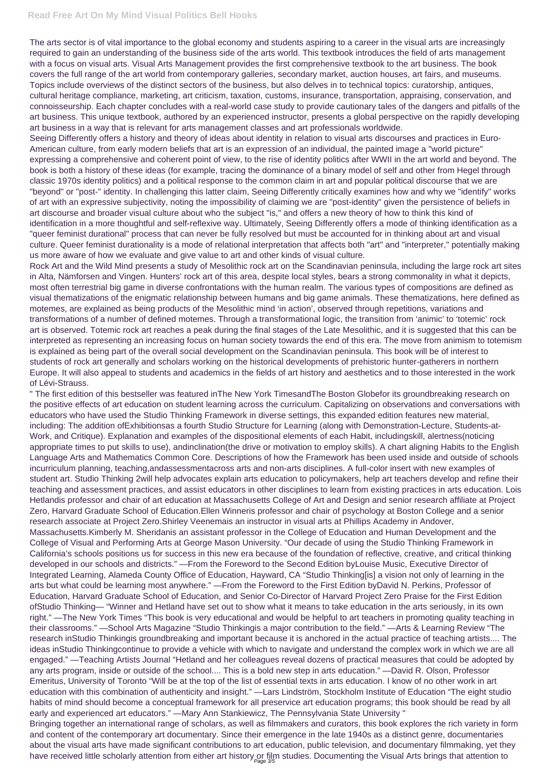## **Read Free Art On My Mind Visual Politics Bell Hooks**

The arts sector is of vital importance to the global economy and students aspiring to a career in the visual arts are increasingly required to gain an understanding of the business side of the arts world. This textbook introduces the field of arts management with a focus on visual arts. Visual Arts Management provides the first comprehensive textbook to the art business. The book covers the full range of the art world from contemporary galleries, secondary market, auction houses, art fairs, and museums. Topics include overviews of the distinct sectors of the business, but also delves in to technical topics: curatorship, antiques, cultural heritage compliance, marketing, art criticism, taxation, customs, insurance, transportation, appraising, conservation, and connoisseurship. Each chapter concludes with a real-world case study to provide cautionary tales of the dangers and pitfalls of the art business. This unique textbook, authored by an experienced instructor, presents a global perspective on the rapidly developing art business in a way that is relevant for arts management classes and art professionals worldwide.

Seeing Differently offers a history and theory of ideas about identity in relation to visual arts discourses and practices in Euro-American culture, from early modern beliefs that art is an expression of an individual, the painted image a "world picture" expressing a comprehensive and coherent point of view, to the rise of identity politics after WWII in the art world and beyond. The book is both a history of these ideas (for example, tracing the dominance of a binary model of self and other from Hegel through classic 1970s identity politics) and a political response to the common claim in art and popular political discourse that we are "beyond" or "post-" identity. In challenging this latter claim, Seeing Differently critically examines how and why we "identify" works of art with an expressive subjectivity, noting the impossibility of claiming we are "post-identity" given the persistence of beliefs in art discourse and broader visual culture about who the subject "is," and offers a new theory of how to think this kind of identification in a more thoughtful and self-reflexive way. Ultimately, Seeing Differently offers a mode of thinking identification as a "queer feminist durational" process that can never be fully resolved but must be accounted for in thinking about art and visual culture. Queer feminist durationality is a mode of relational interpretation that affects both "art" and "interpreter," potentially making us more aware of how we evaluate and give value to art and other kinds of visual culture.

" The first edition of this bestseller was featured inThe New York TimesandThe Boston Globefor its groundbreaking research on the positive effects of art education on student learning across the curriculum. Capitalizing on observations and conversations with educators who have used the Studio Thinking Framework in diverse settings, this expanded edition features new material, including: The addition ofExhibitionsas a fourth Studio Structure for Learning (along with Demonstration-Lecture, Students-at-Work, and Critique). Explanation and examples of the dispositional elements of each Habit, includingskill, alertness(noticing appropriate times to put skills to use), andinclination(the drive or motivation to employ skills). A chart aligning Habits to the English Language Arts and Mathematics Common Core. Descriptions of how the Framework has been used inside and outside of schools incurriculum planning, teaching,andassessmentacross arts and non-arts disciplines. A full-color insert with new examples of student art. Studio Thinking 2will help advocates explain arts education to policymakers, help art teachers develop and refine their teaching and assessment practices, and assist educators in other disciplines to learn from existing practices in arts education. Lois Hetlandis professor and chair of art education at Massachusetts College of Art and Design and senior research affiliate at Project Zero, Harvard Graduate School of Education.Ellen Winneris professor and chair of psychology at Boston College and a senior research associate at Project Zero.Shirley Veenemais an instructor in visual arts at Phillips Academy in Andover, Massachusetts.Kimberly M. Sheridanis an assistant professor in the College of Education and Human Development and the College of Visual and Performing Arts at George Mason University. "Our decade of using the Studio Thinking Framework in California's schools positions us for success in this new era because of the foundation of reflective, creative, and critical thinking developed in our schools and districts." —From the Foreword to the Second Edition byLouise Music, Executive Director of Integrated Learning, Alameda County Office of Education, Hayward, CA "Studio Thinking[is] a vision not only of learning in the arts but what could be learning most anywhere." —From the Foreword to the First Edition byDavid N. Perkins, Professor of Education, Harvard Graduate School of Education, and Senior Co-Director of Harvard Project Zero Praise for the First Edition ofStudio Thinking— "Winner and Hetland have set out to show what it means to take education in the arts seriously, in its own right." —The New York Times "This book is very educational and would be helpful to art teachers in promoting quality teaching in their classrooms." —School Arts Magazine "Studio Thinkingis a major contribution to the field." —Arts & Learning Review "The research inStudio Thinkingis groundbreaking and important because it is anchored in the actual practice of teaching artists.... The ideas inStudio Thinkingcontinue to provide a vehicle with which to navigate and understand the complex work in which we are all engaged." —Teaching Artists Journal "Hetland and her colleagues reveal dozens of practical measures that could be adopted by any arts program, inside or outside of the school.... This is a bold new step in arts education." —David R. Olson, Professor Emeritus, University of Toronto "Will be at the top of the list of essential texts in arts education. I know of no other work in art education with this combination of authenticity and insight." —Lars Lindström, Stockholm Institute of Education "The eight studio habits of mind should become a conceptual framework for all preservice art education programs; this book should be read by all early and experienced art educators." —Mary Ann Stankiewicz, The Pennsylvania State University " Bringing together an international range of scholars, as well as filmmakers and curators, this book explores the rich variety in form and content of the contemporary art documentary. Since their emergence in the late 1940s as a distinct genre, documentaries about the visual arts have made significant contributions to art education, public television, and documentary filmmaking, yet they have received little scholarly attention from either art history or film studies. Documenting the Visual Arts brings that attention to

Rock Art and the Wild Mind presents a study of Mesolithic rock art on the Scandinavian peninsula, including the large rock art sites in Alta, Nämforsen and Vingen. Hunters' rock art of this area, despite local styles, bears a strong commonality in what it depicts, most often terrestrial big game in diverse confrontations with the human realm. The various types of compositions are defined as visual thematizations of the enigmatic relationship between humans and big game animals. These thematizations, here defined as motemes, are explained as being products of the Mesolithic mind 'in action', observed through repetitions, variations and transformations of a number of defined motemes. Through a transformational logic, the transition from 'animic' to 'totemic' rock art is observed. Totemic rock art reaches a peak during the final stages of the Late Mesolithic, and it is suggested that this can be interpreted as representing an increasing focus on human society towards the end of this era. The move from animism to totemism is explained as being part of the overall social development on the Scandinavian peninsula. This book will be of interest to students of rock art generally and scholars working on the historical developments of prehistoric hunter-gatherers in northern Europe. It will also appeal to students and academics in the fields of art history and aesthetics and to those interested in the work of Lévi-Strauss.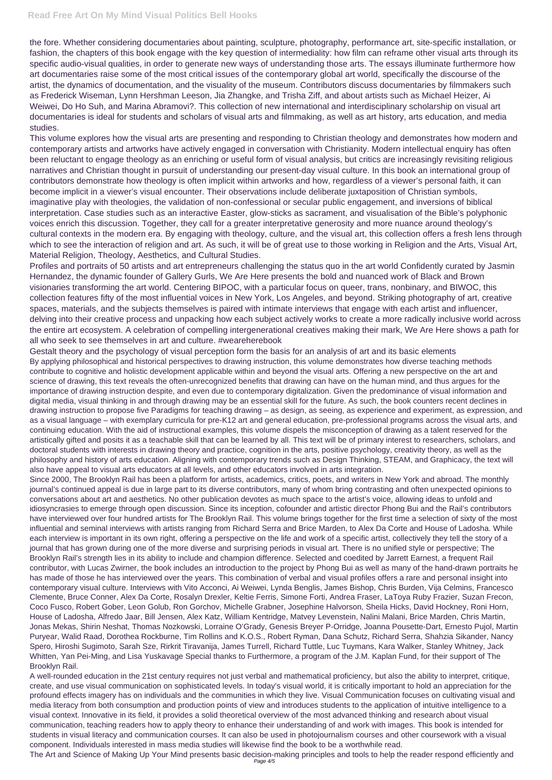the fore. Whether considering documentaries about painting, sculpture, photography, performance art, site-specific installation, or fashion, the chapters of this book engage with the key question of intermediality: how film can reframe other visual arts through its specific audio-visual qualities, in order to generate new ways of understanding those arts. The essays illuminate furthermore how art documentaries raise some of the most critical issues of the contemporary global art world, specifically the discourse of the artist, the dynamics of documentation, and the visuality of the museum. Contributors discuss documentaries by filmmakers such as Frederick Wiseman, Lynn Hershman Leeson, Jia Zhangke, and Trisha Ziff, and about artists such as Michael Heizer, Ai Weiwei, Do Ho Suh, and Marina Abramovi?. This collection of new international and interdisciplinary scholarship on visual art documentaries is ideal for students and scholars of visual arts and filmmaking, as well as art history, arts education, and media studies.

This volume explores how the visual arts are presenting and responding to Christian theology and demonstrates how modern and contemporary artists and artworks have actively engaged in conversation with Christianity. Modern intellectual enquiry has often been reluctant to engage theology as an enriching or useful form of visual analysis, but critics are increasingly revisiting religious narratives and Christian thought in pursuit of understanding our present-day visual culture. In this book an international group of contributors demonstrate how theology is often implicit within artworks and how, regardless of a viewer's personal faith, it can become implicit in a viewer's visual encounter. Their observations include deliberate juxtaposition of Christian symbols, imaginative play with theologies, the validation of non-confessional or secular public engagement, and inversions of biblical interpretation. Case studies such as an interactive Easter, glow-sticks as sacrament, and visualisation of the Bible's polyphonic voices enrich this discussion. Together, they call for a greater interpretative generosity and more nuance around theology's cultural contexts in the modern era. By engaging with theology, culture, and the visual art, this collection offers a fresh lens through which to see the interaction of religion and art. As such, it will be of great use to those working in Religion and the Arts, Visual Art, Material Religion, Theology, Aesthetics, and Cultural Studies.

Profiles and portraits of 50 artists and art entrepreneurs challenging the status quo in the art world Confidently curated by Jasmin Hernandez, the dynamic founder of Gallery Gurls, We Are Here presents the bold and nuanced work of Black and Brown visionaries transforming the art world. Centering BIPOC, with a particular focus on queer, trans, nonbinary, and BIWOC, this collection features fifty of the most influential voices in New York, Los Angeles, and beyond. Striking photography of art, creative spaces, materials, and the subjects themselves is paired with intimate interviews that engage with each artist and influencer, delving into their creative process and unpacking how each subject actively works to create a more radically inclusive world across the entire art ecosystem. A celebration of compelling intergenerational creatives making their mark, We Are Here shows a path for all who seek to see themselves in art and culture. #weareherebook

Gestalt theory and the psychology of visual perception form the basis for an analysis of art and its basic elements By applying philosophical and historical perspectives to drawing instruction, this volume demonstrates how diverse teaching methods contribute to cognitive and holistic development applicable within and beyond the visual arts. Offering a new perspective on the art and science of drawing, this text reveals the often-unrecognized benefits that drawing can have on the human mind, and thus argues for the importance of drawing instruction despite, and even due to contemporary digitalization. Given the predominance of visual information and digital media, visual thinking in and through drawing may be an essential skill for the future. As such, the book counters recent declines in drawing instruction to propose five Paradigms for teaching drawing – as design, as seeing, as experience and experiment, as expression, and as a visual language – with exemplary curricula for pre-K12 art and general education, pre-professional programs across the visual arts, and continuing education. With the aid of instructional examples, this volume dispels the misconception of drawing as a talent reserved for the artistically gifted and posits it as a teachable skill that can be learned by all. This text will be of primary interest to researchers, scholars, and doctoral students with interests in drawing theory and practice, cognition in the arts, positive psychology, creativity theory, as well as the philosophy and history of arts education. Aligning with contemporary trends such as Design Thinking, STEAM, and Graphicacy, the text will also have appeal to visual arts educators at all levels, and other educators involved in arts integration.

Since 2000, The Brooklyn Rail has been a platform for artists, academics, critics, poets, and writers in New York and abroad. The monthly journal's continued appeal is due in large part to its diverse contributors, many of whom bring contrasting and often unexpected opinions to conversations about art and aesthetics. No other publication devotes as much space to the artist's voice, allowing ideas to unfold and idiosyncrasies to emerge through open discussion. Since its inception, cofounder and artistic director Phong Bui and the Rail's contributors have interviewed over four hundred artists for The Brooklyn Rail. This volume brings together for the first time a selection of sixty of the most influential and seminal interviews with artists ranging from Richard Serra and Brice Marden, to Alex Da Corte and House of Ladosha. While each interview is important in its own right, offering a perspective on the life and work of a specific artist, collectively they tell the story of a journal that has grown during one of the more diverse and surprising periods in visual art. There is no unified style or perspective; The Brooklyn Rail's strength lies in its ability to include and champion difference. Selected and coedited by Jarrett Earnest, a frequent Rail contributor, with Lucas Zwirner, the book includes an introduction to the project by Phong Bui as well as many of the hand-drawn portraits he has made of those he has interviewed over the years. This combination of verbal and visual profiles offers a rare and personal insight into contemporary visual culture. Interviews with Vito Acconci, Ai Weiwei, Lynda Benglis, James Bishop, Chris Burden, Vija Celmins, Francesco Clemente, Bruce Conner, Alex Da Corte, Rosalyn Drexler, Keltie Ferris, Simone Forti, Andrea Fraser, LaToya Ruby Frazier, Suzan Frecon, Coco Fusco, Robert Gober, Leon Golub, Ron Gorchov, Michelle Grabner, Josephine Halvorson, Sheila Hicks, David Hockney, Roni Horn, House of Ladosha, Alfredo Jaar, Bill Jensen, Alex Katz, William Kentridge, Matvey Levenstein, Nalini Malani, Brice Marden, Chris Martin, Jonas Mekas, Shirin Neshat, Thomas Nozkowski, Lorraine O'Grady, Genesis Breyer P-Orridge, Joanna Pousette-Dart, Ernesto Pujol, Martin Puryear, Walid Raad, Dorothea Rockburne, Tim Rollins and K.O.S., Robert Ryman, Dana Schutz, Richard Serra, Shahzia Sikander, Nancy Spero, Hiroshi Sugimoto, Sarah Sze, Rirkrit Tiravanija, James Turrell, Richard Tuttle, Luc Tuymans, Kara Walker, Stanley Whitney, Jack Whitten, Yan Pei-Ming, and Lisa Yuskavage Special thanks to Furthermore, a program of the J.M. Kaplan Fund, for their support of The Brooklyn Rail. A well-rounded education in the 21st century requires not just verbal and mathematical proficiency, but also the ability to interpret, critique, create, and use visual communication on sophisticated levels. In today's visual world, it is critically important to hold an appreciation for the profound effects imagery has on individuals and the communities in which they live. Visual Communication focuses on cultivating visual and media literacy from both consumption and production points of view and introduces students to the application of intuitive intelligence to a visual context. Innovative in its field, it provides a solid theoretical overview of the most advanced thinking and research about visual communication, teaching readers how to apply theory to enhance their understanding of and work with images. This book is intended for students in visual literacy and communication courses. It can also be used in photojournalism courses and other coursework with a visual component. Individuals interested in mass media studies will likewise find the book to be a worthwhile read. The Art and Science of Making Up Your Mind presents basic decision-making principles and tools to help the reader respond efficiently and